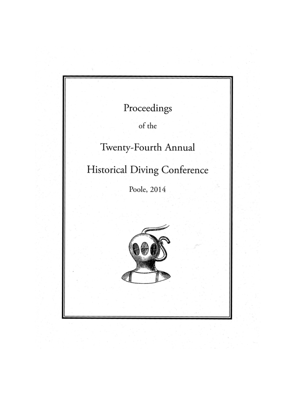| Proceedings<br>of the               |
|-------------------------------------|
| Twenty-Fourth Annual                |
| <b>Historical Diving Conference</b> |
| Poole, 2014                         |
|                                     |

1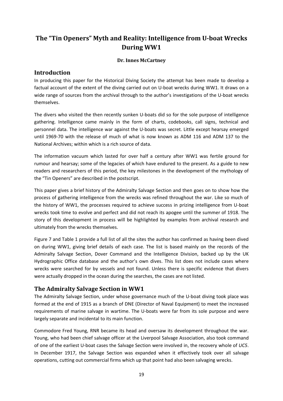# **The "Tin Openers" Myth and Reality: Intelligence from U-boat Wrecks During WW1**

#### **Dr. Innes McCartney**

### **Introduction**

In producing this paper for the Historical Diving Society the attempt has been made to develop a factual account of the extent of the diving carried out on U-boat wrecks during WW1. It draws on a wide range of sources from the archival through to the author's investigations of the U-boat wrecks themselves.

The divers who visited the then recently sunken U-boats did so for the sole purpose of intelligence gathering. Intelligence came mainly in the form of charts, codebooks, call signs, technical and personnel data. The intelligence war against the U-boats was secret. Little except hearsay emerged until 1969-70 with the release of much of what is now known as ADM 116 and ADM 137 to the National Archives; within which is a rich source of data.

The information vacuum which lasted for over half a century after WW1 was fertile ground for rumour and hearsay; some of the legacies of which have endured to the present. As a guide to new readers and researchers of this period, the key milestones in the development of the mythology of the "Tin Openers" are described in the postscript.

This paper gives a brief history of the Admiralty Salvage Section and then goes on to show how the process of gathering intelligence from the wrecks was refined throughout the war. Like so much of the history of WW1, the processes required to achieve success in prizing intelligence from U-boat wrecks took time to evolve and perfect and did not reach its apogee until the summer of 1918. The story of this development in process will be highlighted by examples from archival research and ultimately from the wrecks themselves.

Figure 7 and Table 1 provide a full list of all the sites the author has confirmed as having been dived on during WW1, giving brief details of each case. The list is based mainly on the records of the Admiralty Salvage Section, Dover Command and the Intelligence Division, backed up by the UK Hydrographic Office database and the author's own dives. This list does not include cases where wrecks were searched for by vessels and not found. Unless there is specific evidence that divers were actually dropped in the ocean during the searches, the cases are not listed.

### **The Admiralty Salvage Section in WW1**

The Admiralty Salvage Section, under whose governance much of the U-boat diving took place was formed at the end of 1915 as a branch of DNE (Director of Naval Equipment) to meet the increased requirements of marine salvage in wartime. The U-boats were far from its sole purpose and were largely separate and incidental to its main function.

Commodore Fred Young, RNR became its head and oversaw its development throughout the war. Young, who had been chief salvage officer at the Liverpool Salvage Association, also took command of one of the earliest U-boat cases the Salvage Section were involved in, the recovery whole of *UC5*. In December 1917, the Salvage Section was expanded when it effectively took over all salvage operations, cutting out commercial firms which up that point had also been salvaging wrecks.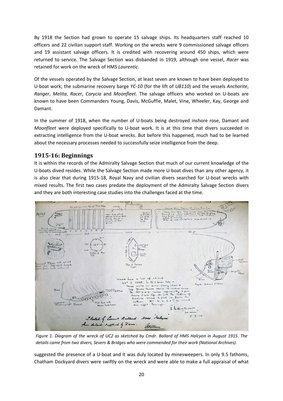By 1918 the Section had grown to operate 15 salvage ships. Its headquarters staff reached 10 officers and 22 civilian support staff. Working on the wrecks were 9 commissioned salvage officers and 19 assistant salvage officers. It is credited with recovering around 450 ships, which were returned to service. The Salvage Section was disbanded in 1919, although one vessel, *Racer* was retained for work on the wreck of HMS *Laurentic*.

Of the vessels operated by the Salvage Section, at least seven are known to have been deployed to U-boat work; the submarine recovery barge *YC-10* (for the lift of *UB110*) and the vessels *Anchorite*, *Ranger*, *Melita*, *Race*r, *Corycia* and *Moonfleet*. The salvage officers who worked on U-boats are known to have been Commanders Young, Davis, McGuffie, Malet, Vine, Wheeler, Kay, George and Damant.

In the summer of 1918, when the number of U-boats being destroyed inshore rose, Damant and *Moonfleet* were deployed specifically to U-boat work. It is at this time that divers succeeded in extracting intelligence from the U-boat wrecks. But before this happened, much had to be learned about the necessary processes needed to successfully seize intelligence from the deep.

### **1915-16: Beginnings**

It is within the records of the Admiralty Salvage Section that much of our current knowledge of the U-boats dived resides. While the Salvage Section made more U-boat dives than any other agency, it is also clear that during 1915-18, Royal Navy and civilian divers searched for U-boat wrecks with mixed results. The first two cases predate the deployment of the Admiralty Salvage Section divers and they are both interesting case studies into the challenges faced at the time.



The former case involves the wreck of *UC2* which detonated one of her own mines while laying a *details came from two divers, Severs & Bridges who were commended for their work (National Archives).* field in the Stanford Channel, Great Yarmouth on 2 July 1915 (see Figure 7). The mine detonation *Figure 1. Diagram of the wreck of UC2 as sketched by Cmdr. Ballard of HMS Halcyon in August 1915. The* 

suggested the presence of a U-boat and it was duly located by minesweepers. In only 9.5 fathoms, Chatham Dockyard divers were swiftly on the wreck and were able to make a full appraisal of what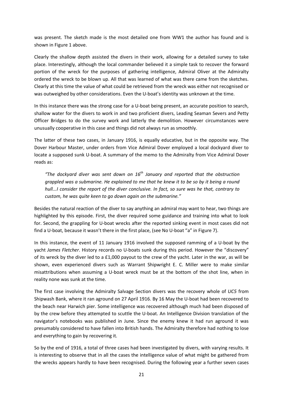was present. The sketch made is the most detailed one from WW1 the author has found and is shown in Figure 1 above.

Clearly the shallow depth assisted the divers in their work, allowing for a detailed survey to take place. Interestingly, although the local commander believed it a simple task to recover the forward portion of the wreck for the purposes of gathering intelligence, Admiral Oliver at the Admiralty ordered the wreck to be blown up. All that was learned of what was there came from the sketches. Clearly at this time the value of what could be retrieved from the wreck was either not recognised or was outweighed by other considerations. Even the U-boat's identity was unknown at the time.

In this instance there was the strong case for a U-boat being present, an accurate position to search, shallow water for the divers to work in and two proficient divers, Leading Seaman Severs and Petty Officer Bridges to do the survey work and latterly the demolition. However circumstances were unusually cooperative in this case and things did not always run as smoothly.

The latter of these two cases, in January 1916, is equally educative, but in the opposite way. The Dover Harbour Master, under orders from Vice Admiral Dover employed a local dockyard diver to locate a supposed sunk U-boat. A summary of the memo to the Admiralty from Vice Admiral Dover reads as:

*"The dockyard diver was sent down on 16th January and reported that the obstruction grappled was a submarine. He explained to me that he knew it to be so by it being a round hull...I consider the report of the diver conclusive. In fact, so sure was he that, contrary to custom, he was quite keen to go down again on the submarine."*

Besides the natural reaction of the diver to say anything an admiral may want to hear, two things are highlighted by this episode. First, the diver required some guidance and training into what to look for. Second, the grappling for U-boat wrecks after the reported sinking event in most cases did not find a U-boat, because it wasn't there in the first place, (see No U-boat "a" in Figure 7).

In this instance, the event of 11 January 1916 involved the supposed ramming of a U-boat by the yacht *James Fletcher*. History records no U-boats sunk during this period. However the "discovery" of its wreck by the diver led to a £1,000 payout to the crew of the yacht. Later in the war, as will be shown, even experienced divers such as Warrant Shipwright E. C. Miller were to make similar misattributions when assuming a U-boat wreck must be at the bottom of the shot line, when in reality none was sunk at the time.

The first case involving the Admiralty Salvage Section divers was the recovery whole of *UC5* from Shipwash Bank, where it ran aground on 27 April 1916. By 16 May the U-boat had been recovered to the beach near Harwich pier. Some intelligence was recovered although much had been disposed of by the crew before they attempted to scuttle the U-boat. An Intelligence Division translation of the navigator's notebooks was published in June. Since the enemy knew it had run aground it was presumably considered to have fallen into British hands. The Admiralty therefore had nothing to lose and everything to gain by recovering it.

So by the end of 1916, a total of three cases had been investigated by divers, with varying results. It is interesting to observe that in all the cases the intelligence value of what might be gathered from the wrecks appears hardly to have been recognised. During the following year a further seven cases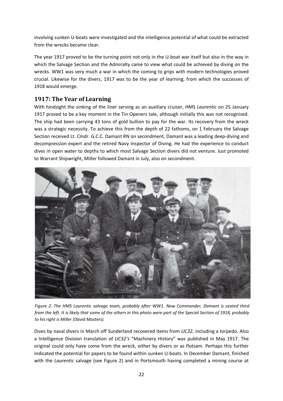involving sunken U-boats were investigated and the intelligence potential of what could be extracted from the wrecks became clear.

The year 1917 proved to be the turning point not only in the U-boat war itself but also in the way in which the Salvage Section and the Admiralty came to view what could be achieved by diving on the wrecks. WW1 was very much a war in which the coming to grips with modern technologies proved crucial. Likewise for the divers, 1917 was to be the year of learning, from which the successes of 1918 would emerge.

## **1917: The Year of Learning**

With hindsight the sinking of the liner serving as an auxiliary cruiser, HMS *Laurentic* on 25 January 1917 proved to be a key moment in the Tin Openers tale, although initially this was not recognised. The ship had been carrying 43 tons of gold bullion to pay for the war. Its recovery from the wreck was a strategic necessity. To achieve this from the depth of 22 fathoms, on 1 February the Salvage Section received Lt. Cmdr. G.C.C. Damant RN on secondment. Damant was a leading deep-diving and decompression expert and the retired Navy Inspector of Diving. He had the experience to conduct dives in open water to depths to which most Salvage Section divers did not venture. Just promoted to Warrant Shipwright, Miller followed Damant in July, also on secondment.



*Figure 2. The HMS Laurentic salvage team, probably after WW1. Now Commander, Damant is seated third from the left. It is likely that some of the others in this photo were part of the Special Section of 1918, probably to his right is Miller (David Masters).* 

Dives by naval divers in March off Sunderland recovered items from *UC32*, including a torpedo. Also a Intelligence Division translation of *UC32's* "Machinery History" was published in May 1917. The original could only have come from the wreck, either by divers or as flotsam. Perhaps this further indicated the potential for papers to be found within sunken U-boats. In December Damant, finished with the *Laurentic* salvage (see Figure 2) and in Portsmouth having completed a mining course at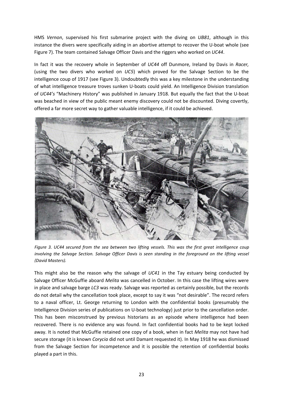HMS *Vernon*, supervised his first submarine project with the diving on *UB81*, although in this instance the divers were specifically aiding in an abortive attempt to recover the U-boat whole (see Figure 7). The team contained Salvage Officer Davis and the riggers who worked on *UC44*.

In fact it was the recovery whole in September of *UC44* off Dunmore, Ireland by Davis in *Racer,*  (using the two divers who worked on *UC5*) which proved for the Salvage Section to be the intelligence coup of 1917 (see Figure 3). Undoubtedly this was a key milestone in the understanding of what intelligence treasure troves sunken U-boats could yield. An Intelligence Division translation of *UC44's* "Machinery History" was published in January 1918. But equally the fact that the U-boat was beached in view of the public meant enemy discovery could not be discounted. Diving covertly, offered a far more secret way to gather valuable intelligence, if it could be achieved.



*Figure 3. UC44 secured from the sea between two lifting vessels. This was the first great intelligence coup involving the Salvage Section. Salvage Officer Davis is seen standing in the foreground on the lifting vessel (David Masters).* 

This might also be the reason why the salvage of *UC41* in the Tay estuary being conducted by Salvage Officer McGuffie aboard *Melita* was cancelled in October. In this case the lifting wires were in place and salvage barge *LC3* was ready. Salvage was reported as certainly possible, but the records do not detail why the cancellation took place, except to say it was "not desirable". The record refers to a naval officer, Lt. George returning to London with the confidential books (presumably the Intelligence Division series of publications on U-boat technology) just prior to the cancellation order. This has been misconstrued by previous historians as an episode where intelligence had been recovered. There is no evidence any was found. In fact confidential books had to be kept locked away. It is noted that McGuffie retained one copy of a book, when in fact *Melita* may not have had secure storage (it is known *Corycia* did not until Damant requested it). In May 1918 he was dismissed from the Salvage Section for incompetence and it is possible the retention of confidential books played a part in this.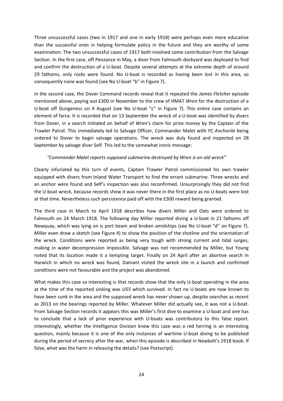Three unsuccessful cases (two in 1917 and one in early 1918) were perhaps even more educative than the successful ones in helping formulate policy in the future and they are worthy of some examination. The two unsuccessful cases of 1917 both involved some contribution from the Salvage Section. In the first case, off Penzance in May, a diver from Falmouth dockyard was deployed to find and confirm the destruction of a U-boat. Despite several attempts at the extreme depth of around 29 fathoms, only rocks were found. No U-boat is recorded as having been lost in this area, so consequently none was found (see No U-boat "b" in Figure 7).

In the second case, the Dover Command records reveal that it repeated the *James Fletcher* episode mentioned above, paying out £300 in November to the crew of HMAT *Wren* for the destruction of a U-boat off Dungeness on 4 August (see No U-boat "c" in Figure 7). This entire case contains an element of farce. It is recorded that on 13 September the wreck of a U-boat was identified by divers from Dover, in a search initiated on behalf of *Wren's* claim for prize money by the Captain of the Trawler Patrol. This immediately led to Salvage Officer, Commander Malet with YC *Anchorite* being ordered to Dover to begin salvage operations. The wreck was duly found and inspected on 28 September by salvage diver Self. This led to the somewhat ironic message:

#### *"Commander Malet reports supposed submarine destroyed by Wren is an old wreck"*

Clearly infuriated by this turn of events, Captain Trawler Patrol commissioned his own trawler equipped with divers from Inland Water Transport to find the errant submarine. Three wrecks and an anchor were found and Self's inspection was also reconfirmed. Unsurprisingly they did not find the U-boat wreck, because records show it was never there in the first place as no U-boats were lost at that time. Nevertheless such persistence paid off with the £300 reward being granted.

The third case in March to April 1918 describes how divers Miller and Oats were ordered to Falmouth on 24 March 1918. The following day Miller reported diving a U-boat in 21 fathoms off Newquay, which was lying on is port beam and broken amidships (see No U-boat "d" on Figure 7). Miller even drew a sketch (see Figure 4) to show the position of the shotline and the orientation of the wreck. Conditions were reported as being very tough with strong current and tidal surges, making in water decompression impossible. Salvage was not recommended by Miller, but Young noted that its location made it a tempting target. Finally on 24 April after an abortive search in Harwich in which no wreck was found, Damant visited the wreck site in a launch and confirmed conditions were not favourable and the project was abandoned.

What makes this case so interesting is that records show that the only U-boat operating in the area at the time of the reported sinking was *U55* which survived. In fact no U-boats are now known to have been sunk in the area and the supposed wreck has never shown up, despite searches as recent as 2013 on the bearings reported by Miller. Whatever Miller did actually see, it was not a U-boat. From Salvage Section records it appears this was Miller's first dive to examine a U-boat and one has to conclude that a lack of prior experience with U-boats was contributory to this false report. Interestingly, whether the Intelligence Division knew this case was a red herring is an interesting question, mainly because it is one of the only instances of wartime U-boat diving to be published during the period of secrecy after the war, when this episode is described in Newbolt's 1918 book. If false, what was the harm in releasing the details? (see Postscript).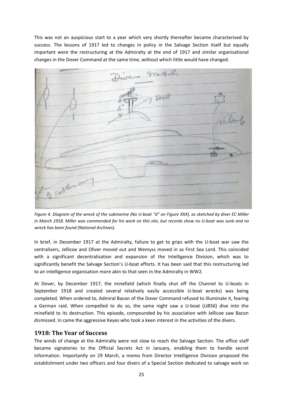This was not an auspicious start to a year which very shortly thereafter became characterised by success. The lessons of 1917 led to changes in policy in the Salvage Section itself but equally important were the restructuring at the Admiralty at the end of 1917 and similar organisational changes in the Dover Command at the same time, without which little would have changed.



*Figure 4. Diagram of the wreck of the submarine (No U-boat "d" on Figure XXX), as sketched by diver EC Miller in March 1918. Miller was commended for his work on this site, but records show no U-boat was sunk and no wreck has been found (National Archives).* 

In brief, in December 1917 at the Admiralty, failure to get to grips with the U-boat war saw the centralisers, Jellicoe and Oliver moved out and Wemyss moved in as First Sea Lord. This coincided with a significant decentralisation and expansion of the Intelligence Division, which was to significantly benefit the Salvage Section's U-boat efforts. It has been said that this restructuring led to an intelligence organisation more akin to that seen in the Admiralty in WW2.

At Dover, by December 1917, the minefield (which finally shut off the Channel to U-boats in September 1918 and created several relatively easily accessible U-boat wrecks) was being completed. When ordered to, Admiral Bacon of the Dover Command refused to illuminate it, fearing a German raid. When compelled to do so, the same night saw a U-boat (*UB56*) dive into the minefield to its destruction. This episode, compounded by his association with Jellicoe saw Bacon dismissed. In came the aggressive Keyes who took a keen interest in the activities of the divers.

#### **1918: The Year of Success**

The winds of change at the Admiralty were not slow to reach the Salvage Section. The office staff became signatories to the Official Secrets Act in January, enabling them to handle secret information. Importantly on 29 March, a memo from Director Intelligence Division proposed the establishment under two officers and four divers of a Special Section dedicated to salvage work on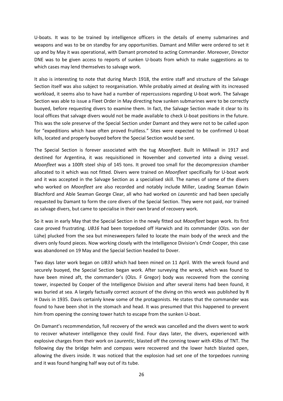U-boats. It was to be trained by intelligence officers in the details of enemy submarines and weapons and was to be on standby for any opportunities. Damant and Miller were ordered to set it up and by May it was operational, with Damant promoted to acting Commander. Moreover, Director DNE was to be given access to reports of sunken U-boats from which to make suggestions as to which cases may lend themselves to salvage work.

It also is interesting to note that during March 1918, the entire staff and structure of the Salvage Section itself was also subject to reorganisation. While probably aimed at dealing with its increased workload, it seems also to have had a number of repercussions regarding U-boat work. The Salvage Section was able to issue a Fleet Order in May directing how sunken submarines were to be correctly buoyed, before requesting divers to examine them. In fact, the Salvage Section made it clear to its local offices that salvage divers would not be made available to check U-boat positions in the future. This was the sole preserve of the Special Section under Damant and they were not to be called upon for "expeditions which have often proved fruitless." Sites were expected to be confirmed U-boat kills, located and properly buoyed before the Special Section would be sent.

The Special Section is forever associated with the tug *Moonfleet*. Built in Millwall in 1917 and destined for Argentina, it was requisitioned in November and converted into a diving vessel. *Moonfleet* was a 100ft steel ship of 145 tons. It proved too small for the decompression chamber allocated to it which was not fitted. Divers were trained on *Moonfleet* specifically for U-boat work and it was accepted in the Salvage Section as a specialised skill. The names of some of the divers who worked on *Moonfleet* are also recorded and notably include Miller, Leading Seaman Edwin Blachford and Able Seaman George Clear, all who had worked on *Laurentic* and had been specially requested by Damant to form the core divers of the Special Section. They were not paid, nor trained as salvage divers, but came to specialise in their own brand of recovery work.

So it was in early May that the Special Section in the newly fitted out *Moonfleet* began work. Its first case proved frustrating. *UB16* had been torpedoed off Harwich and its commander (Olzs. von der Lühe) plucked from the sea but minesweepers failed to locate the main body of the wreck and the divers only found pieces. Now working closely with the Intelligence Division's Cmdr Cooper, this case was abandoned on 19 May and the Special Section headed to Dover.

Two days later work began on *UB33* which had been mined on 11 April. With the wreck found and securely buoyed, the Special Section began work. After surveying the wreck, which was found to have been mined aft, the commander's (Olzs. F Gregor) body was recovered from the conning tower, inspected by Cooper of the Intelligence Division and after several items had been found, it was buried at sea. A largely factually correct account of the diving on this wreck was published by R H Davis in 1935. Davis certainly knew some of the protagonists. He states that the commander was found to have been shot in the stomach and head. It was presumed that this happened to prevent him from opening the conning tower hatch to escape from the sunken U-boat.

On Damant's recommendation, full recovery of the wreck was cancelled and the divers went to work to recover whatever intelligence they could find. Four days later, the divers, experienced with explosive charges from their work on *Laurentic*, blasted off the conning tower with 45lbs of TNT. The following day the bridge helm and compass were recovered and the lower hatch blasted open, allowing the divers inside. It was noticed that the explosion had set one of the torpedoes running and it was found hanging half way out of its tube.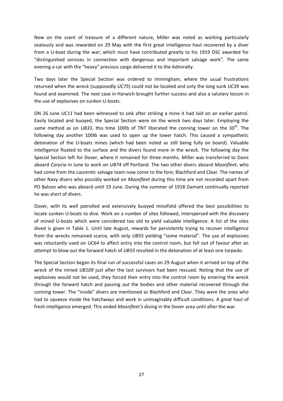Now on the scent of treasure of a different nature, Miller was noted as working particularly zealously and was rewarded on 29 May with the first great intelligence haul recovered by a diver from a U-boat during the war; which must have contributed greatly to his 1919 DSC awarded for "distinguished services in connection with dangerous and important salvage work". The same evening a car with the "heavy" precious cargo delivered it to the Admiralty.

Two days later the Special Section was ordered to Immingham, where the usual frustrations returned when the wreck (supposedly *UC75*) could not be located and only the long sunk *UC39* was found and examined. The next case in Harwich brought further success and also a salutary lesson in the use of explosives on sunken U-boats.

ON 26 June *UC11* had been witnessed to sink after striking a mine it had laid on an earlier patrol. Easily located and buoyed, the Special Section were on the wreck two days later. Employing the same method as on *UB33*, this time 100lb of TNT liberated the conning tower on the  $30<sup>th</sup>$ . The following day another 100lb was used to open up the lower hatch. This caused a sympathetic detonation of the U-boats mines (which had been noted as still being fully on board). Valuable intelligence floated to the surface and the divers found more in the wreck. The following day the Special Section left for Dover, where it remained for three months. Miller was transferred to Davis aboard *Corycia* in June to work on *UB74* off Portland. The two other divers aboard *Moonfleet*, who had come from the *Laurentic* salvage team now come to the fore; Blachford and Clear. The names of other Navy divers who possibly worked on *Moonfleet* during this time are not recorded apart from PO Balson who was aboard until 19 June. During the summer of 1918 Damant continually reported he was short of divers.

Dover, with its well patrolled and extensively buoyed minefield offered the best possibilities to locate sunken U-boats to dive. Work on a number of sites followed, interspersed with the discovery of mined U-boats which were considered too old to yield valuable intelligence. A list of the sites dived is given in Table 1. Until late August, rewards for persistently trying to recover intelligence from the wrecks remained scarce, with only *UB55* yielding "some material". The use of explosives was reluctantly used on *UC64* to affect entry into the control room, but fell out of favour after an attempt to blow out the forward hatch of *UB55* resulted in the detonation of at least one torpedo.

The Special Section began its final run of successful cases on 29 August when it arrived on top of the wreck of the mined *UB109* just after the last survivors had been rescued. Noting that the use of explosives would not be used, they forced their entry into the control room by entering the wreck through the forward hatch and passing out the bodies and other material recovered through the conning tower. The "inside" divers are mentioned as Blachford and Clear. They were the ones who had to squeeze inside the hatchways and work in unimaginably difficult conditions. A great haul of fresh intelligence emerged. This ended *Moonfleet's* diving in the Dover area until after the war.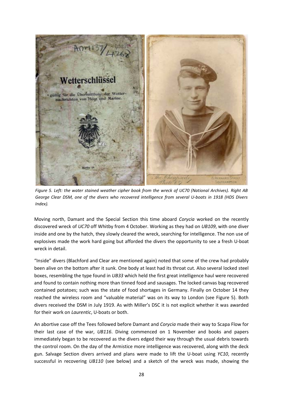

*Figure 5. Left: the water stained weather cipher book from the wreck of UC70 (National Archives). Right AB George Clear DSM, one of the divers who recovered intelligence from several U-boats in 1918 (HDS Divers Index).*

Moving north, Damant and the Special Section this time aboard *Corycia* worked on the recently discovered wreck of *UC70* off Whitby from 4 October. Working as they had on *UB109*, with one diver inside and one by the hatch, they slowly cleared the wreck, searching for intelligence. The non use of explosives made the work hard going but afforded the divers the opportunity to see a fresh U-boat wreck in detail.

"Inside" divers (Blachford and Clear are mentioned again) noted that some of the crew had probably been alive on the bottom after it sunk. One body at least had its throat cut. Also several locked steel boxes, resembling the type found in *UB33* which held the first great intelligence haul were recovered and found to contain nothing more than tinned food and sausages. The locked canvas bag recovered contained potatoes; such was the state of food shortages in Germany. Finally on October 14 they reached the wireless room and "valuable material" was on its way to London (see Figure 5). Both divers received the DSM in July 1919. As with Miller's DSC it is not explicit whether it was awarded for their work on *Laurentic*, U-boats or both.

An abortive case off the Tees followed before Damant and *Corycia* made their way to Scapa Flow for their last case of the war, *UB116*. Diving commenced on 1 November and books and papers immediately began to be recovered as the divers edged their way through the usual debris towards the control room. On the day of the Armistice more intelligence was recovered, along with the deck gun. Salvage Section divers arrived and plans were made to lift the U-boat using *YC10*, recently successful in recovering *UB110* (see below) and a sketch of the wreck was made, showing the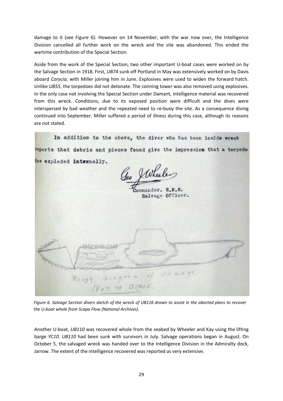damage to it (see Figure 6). However on 14 November, with the war now over, the Intelligence Division cancelled all further work on the wreck and the site was abandoned. This ended the wartime contribution of the Special Section.

Aside from the work of the Special Section, two other important U-boat cases were worked on by the Salvage Section in 1918. First, *UB74* sunk off Portland in May was extensively worked on by Davis aboard *Corycia*, with Miller joining him in June. Explosives were used to widen the forward hatch. Unlike *UB55*, the torpedoes did not detonate. The conning tower was also removed using explosives. In the only case not involving the Special Section under Damant, intelligence material was recovered from this wreck. Conditions, due to its exposed position were difficult and the dives were interspersed by bad weather and the repeated need to re-buoy the site. As a consequence diving continued into September. Miller suffered a period of illness during this case, although its reasons are not stated.

In addition to the above, the diver who has been inside wreck reports that debris and pieces found give the impression that a torpedo has exploded internally. 20 Julie ommander. R.N.R. Salvage Officer. domage diagram of Rough

*Figure 6. Salvage Section divers sketch of the wreck of UB116 drawn to assist in the aborted plans to recover the U-boat whole from Scapa Flow (National Archives).* 

Another U-boat, *UB110* was recovered whole from the seabed by Wheeler and Kay using the lifting barge *YC10*. *UB110* had been sunk with survivors in July. Salvage operations began in August. On October 5, the salvaged wreck was handed over to the Intelligence Division in the Admiralty dock, Jarrow. The extent of the intelligence recovered was reported as very extensive.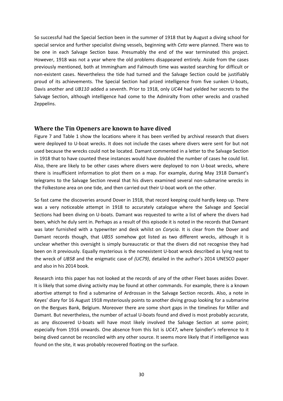So successful had the Special Section been in the summer of 1918 that by August a diving school for special service and further specialist diving vessels, beginning with *Ceto* were planned. There was to be one in each Salvage Section base. Presumably the end of the war terminated this project. However, 1918 was not a year where the old problems disappeared entirely. Aside from the cases previously mentioned, both at Immingham and Falmouth time was wasted searching for difficult or non-existent cases. Nevertheless the tide had turned and the Salvage Section could be justifiably proud of its achievements. The Special Section had prized intelligence from five sunken U-boats, Davis another and *UB110* added a seventh. Prior to 1918, only *UC44* had yielded her secrets to the Salvage Section, although intelligence had come to the Admiralty from other wrecks and crashed Zeppelins.

#### **Where the Tin Openers are known to have dived**

Figure 7 and Table 1 show the locations where it has been verified by archival research that divers were deployed to U-boat wrecks. It does not include the cases where divers were sent for but not used because the wrecks could not be located. Damant commented in a letter to the Salvage Section in 1918 that to have counted these instances would have doubled the number of cases he could list. Also, there are likely to be other cases where divers were deployed to non U-boat wrecks, where there is insufficient information to plot them on a map. For example, during May 1918 Damant's telegrams to the Salvage Section reveal that his divers examined several non-submarine wrecks in the Folkestone area on one tide, and then carried out their U-boat work on the other.

So fast came the discoveries around Dover in 1918, that record keeping could hardly keep up. There was a very noticeable attempt in 1918 to accurately catalogue where the Salvage and Special Sections had been diving on U-boats. Damant was requested to write a list of where the divers had been, which he duly sent in. Perhaps as a result of this episode it is noted in the records that Damant was later furnished with a typewriter and desk whilst on *Corycia*. It is clear from the Dover and Damant records though, that *UB55* somehow got listed as two different wrecks, although it is unclear whether this oversight is simply bureaucratic or that the divers did not recognise they had been on it previously. Equally mysterious is the nonexistent U-boat wreck described as lying next to the wreck of *UB58* and the enigmatic case of *(UC79)*, detailed in the author's 2014 UNESCO paper and also in his 2014 book.

Research into this paper has not looked at the records of any of the other Fleet bases asides Dover. It is likely that some diving activity may be found at other commands. For example, there is a known abortive attempt to find a submarine of Ardrossan in the Salvage Section records. Also, a note in Keyes' diary for 16 August 1918 mysteriously points to another diving group looking for a submarine on the Bergues Bank, Belgium. Moreover there are some short gaps in the timelines for Miller and Damant. But nevertheless, the number of actual U-boats found and dived is most probably accurate, as any discovered U-boats will have most likely involved the Salvage Section at some point; especially from 1916 onwards. One absence from this list is *UC47*, where Spindler's reference to it being dived cannot be reconciled with any other source. It seems more likely that if intelligence was found on the site, it was probably recovered floating on the surface.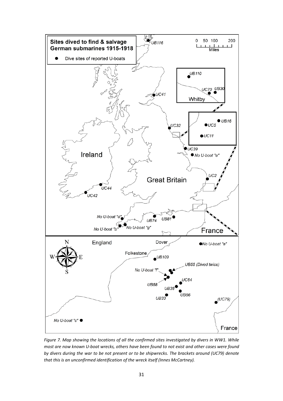

*Figure 7. Map showing the locations of all the confirmed sites investigated by divers in WW1. While most are now known U-boat wrecks, others have been found to not exist and other cases were found by divers during the war to be not present or to be shipwrecks. The brackets around (UC79) denote that this is an unconfirmed identification of the wreck itself (Innes McCartney).*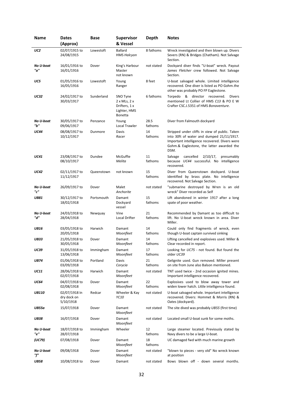| Name             | <b>Dates</b>                              | <b>Base</b> | Supervisor                                                                                | <b>Depth</b>    | <b>Notes</b>                                                                                                                                                                                      |
|------------------|-------------------------------------------|-------------|-------------------------------------------------------------------------------------------|-----------------|---------------------------------------------------------------------------------------------------------------------------------------------------------------------------------------------------|
|                  | (Approx)                                  |             | & Vessel                                                                                  |                 |                                                                                                                                                                                                   |
| UC2              | 02/07/1915 to<br>24/08/1915               | Lowestoft   | <b>Ballard</b><br><b>HMS Halcyon</b>                                                      | 8 fathoms       | Wreck investigated and then blown up. Divers<br>Severs (RN) & Bridges (Chatham). Not Salvage<br>Section.                                                                                          |
| No U-boat<br>"a" | 16/01/1916 to<br>16/01/1916               | Dover       | King's Harbour<br>Master<br>not known                                                     | not stated      | Dockyard diver finds "U-boat" wreck. Payout<br>James Fletcher crew followed. Not Salvage<br>Section.                                                                                              |
| UC5              | 01/05/1916 to<br>16/05/1916               | Lowestoft   | Young<br>Ranger                                                                           | 8 feet          | U-boat salvaged whole. Limited intelligence<br>recovered. One diver is listed as PO Gohm.the<br>other was probably PO FP Eaglestone.                                                              |
| <b>UC32</b>      | 24/02/1917 to<br>30/03/1917               | Sunderland  | SNO Tyne<br>$2 \times$ MLs, $2 \times$<br>Drifters, 1 x<br>Lighter, HMS<br><b>Bonetta</b> | 6 fathoms       | Torpedo & director recovered. Divers<br>mentioned Lt Collier of HMS C13 & PO E W<br>Crafter CSC.J.5351 of HMS Bonaventure.                                                                        |
| No U-boat<br>"b" | 30/05/1917 to<br>09/06/1917               | Penzance    | Young<br>Local Trawler                                                                    | 28.5<br>fathoms | Diver from Falmouth dockyard                                                                                                                                                                      |
| <b>UC44</b>      | 08/08/1917 to<br>10/12/1917               | Dunmore     | Davis<br>Racer                                                                            | 14<br>fathoms   | Stripped under cliffs in view of public. Taken<br>into 30ft of water and dumped 21/11/1917.<br>Important intelligence recovered. Divers were<br>Gohm.& Eaglestone, the latter awarded the<br>DSM. |
| <b>UC41</b>      | 23/08/1917 to<br>08/10/1917               | Dundee      | <b>McGuffie</b><br>Melita                                                                 | 11<br>fathoms   | cancelled<br>$2/10/17$ ,<br>presumably<br>Salvage<br>because UC44 successful. No intelligence<br>recovered.                                                                                       |
| <b>UC42</b>      | 02/11/1917 to<br>11/12/1917               | Queenstown  | not known                                                                                 | 15<br>fathoms   | Diver from Queenstown dockyard. U-boat<br>identified by brass plate. No intelligence<br>recovered. Not Salvage Section.                                                                           |
| No U-boat<br>"c" | 26/09/1917 to                             | Dover       | Malet<br>Anchorite                                                                        | not stated      | "submarine destroyed by Wren is an old<br>wreck" Diver recorded as Self                                                                                                                           |
| <b>UB81</b>      | 30/12/1917 to<br>18/02/1918               | Portsmouth  | Damant<br>Dockyard<br>vessel                                                              | 15<br>fathoms   | Lift abandoned in winter 1917 after a long<br>spate of poor weather.                                                                                                                              |
| No U-boat<br>"d" | 24/03/1918 to<br>28/04/1918               | Newquay     | Vine<br>Local Drifter                                                                     | 21<br>fathoms   | Recommended by Damant as too difficult to<br>lift. No U-boat wreck known in area. Diver<br>Miller.                                                                                                |
| <b>UB16</b>      | 03/05/1918 to<br>20/05/1918               | Harwich     | Damant<br>Moonfleet                                                                       | 14<br>fathoms   | Could only find fragments of wreck, even<br>though U-boat captain survived sinking                                                                                                                |
| <b>UB33</b>      | 21/05/1918 to<br>30/05/1918               | Dover       | Damant<br>Moonfleet                                                                       | 14<br>fathoms   | Lifting cancelled and explosives used. Miller &<br>Clear recorded in report.                                                                                                                      |
| UC39             | 31/05/1918 to<br>13/06/1918               | Immingham   | Damant<br>Moonfleet                                                                       | 17<br>fathoms   | Looking for UC75 - not found. But found the<br>older UC39                                                                                                                                         |
| <b>UB74</b>      | 01/06/1918 to<br>03/09/1918               | Portland    | Davis<br>Corycia                                                                          | 21<br>fathoms   | Gelignite used. Gun removed. Miller present<br>on site from June also Balson mentioned.                                                                                                           |
| UC11             | 28/06/1918 to<br>02/07/1918               | Harwich     | Damant<br>Moonfleet                                                                       | not stated      | TNT used twice - 2nd occasion ignited mines.<br>Important intelligence recovered.                                                                                                                 |
| UC64             | 04/07/1918 to<br>02/08/1918               | Dover       | Damant<br>Moonfleet                                                                       | 22<br>fathoms   | Explosives used to blow away tower and<br>widen lower hatch. Little intelligence found.                                                                                                           |
| <b>UB110</b>     | 02/07/1918 In<br>dry dock on<br>5/10/1918 | Redcar      | Wheeler & Kay<br>YC10                                                                     | not stated      | U-boat salvaged whole. Important intelligence<br>recovered. Divers: Hommet & Morris (RN) &<br>Oates (dockyard).                                                                                   |
| <b>UB55a</b>     | 15/07/1918                                | Dover       | Damant<br>Moonfleet                                                                       | not stated      | The site dived was probably UB55 (first time)                                                                                                                                                     |
| <b>UB38</b>      | 16/07/1918                                | Dover       | Damant<br>Moonfleet                                                                       | not stated      | Located small U-boat sunk for some moths.                                                                                                                                                         |
| No U-boat<br>"e" | 18/07/1918 to<br>28/07/1918               | Immingham   | Wheeler                                                                                   | 12<br>fathoms   | Large steamer located. Previously stated by<br>Navy divers to be a large U-boat.                                                                                                                  |
| (UC79)           | 07/08/1918                                | Dover       | Damant<br>Moonfleet                                                                       | 18<br>fathoms   | UC damaged fwd with much marine growth                                                                                                                                                            |
| No U-boat<br>"f" | 09/08/1918                                | Dover       | Damant<br>Moonfleet                                                                       | not stated      | "blown to pieces - very old" No wreck known<br>at position                                                                                                                                        |
| <b>UB58</b>      | 10/08/1918 to                             | Dover       | Damant                                                                                    | not stated      | Bows blown off - down several months.                                                                                                                                                             |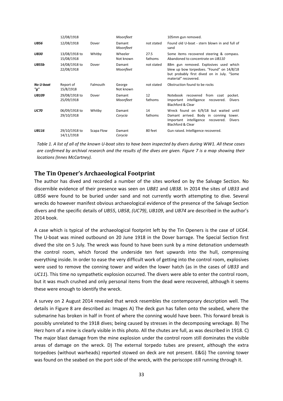|                  | 12/08/1918                  |            | Moonfleet            |                 | 105mm gun removed.                                                                                                                                          |
|------------------|-----------------------------|------------|----------------------|-----------------|-------------------------------------------------------------------------------------------------------------------------------------------------------------|
| <b>UB56</b>      | 12/08/1918                  | Dover      | Damant<br>Moonfleet  | not stated      | Found old U-boat - stern blown in and full of<br>sand                                                                                                       |
| UB30             | 13/08/1918 to<br>15/08/1918 | Whitby     | Wheeler<br>Not known | 27.5<br>fathoms | Some items recovered steering & compass.<br>Abandoned to concentrate on UB110                                                                               |
| <b>UB55b</b>     | 14/08/1918 to<br>22/08/1918 | Dover      | Damant<br>Moonfleet  | not stated      | 88m gun removed. Explosives used which<br>blew up bow torpedoes. "Found" on 14/8/18<br>but probably first dived on in July. "Some<br>material" recovered.   |
| No U-boat<br>"a" | Report of<br>15/8/1918      | Falmouth   | George<br>Not known  | not stated      | Obstruction found to be rocks                                                                                                                               |
| <b>UB109</b>     | 29/08/1918 to<br>25/09/1918 | Dover      | Damant<br>Moonfleet  | 12<br>fathoms   | recovered from coat<br>Notebook<br>pocket.<br>Important intelligence recovered.<br><b>Divers</b><br>Blachford & Clear                                       |
| <b>UC70</b>      | 06/09/1918 to<br>29/10/1918 | Whitby     | Damant<br>Corycia    | 14<br>fathoms   | Wreck found on 6/9/18 but waited until<br>Damant arrived. Body in conning tower.<br>Important intelligence recovered.<br><b>Divers</b><br>Blachford & Clear |
| <b>UB116</b>     | 29/10/1918 to<br>14/11/1918 | Scapa Flow | Damant<br>Corvcia    | 80 feet         | Gun raised. Intelligence recovered.                                                                                                                         |

*Table 1. A list of all of the known U-boat sites to have been inspected by divers during WW1. All these cases are confirmed by archival research and the results of the dives are given. Figure 7 is a map showing their locations (Innes McCartney).* 

#### **The Tin Opener's Archaeological Footprint**

The author has dived and recorded a number of the sites worked on by the Salvage Section. No discernible evidence of their presence was seen on *UB81* and *UB38*. In 2014 the sites of *UB33* and *UB56* were found to be buried under sand and not currently worth attempting to dive. Several wrecks do however manifest obvious archaeological evidence of the presence of the Salvage Section divers and the specific details of *UB55*, *UB58*, *(UC79)*, *UB109*, and *UB74* are described in the author's 2014 book.

A case which is typical of the archaeological footprint left by the Tin Openers is the case of *UC64*. The U-boat was mined outbound on 20 June 1918 in the Dover barrage. The Special Section first dived the site on 5 July. The wreck was found to have been sunk by a mine detonation underneath the control room, which forced the underside ten feet upwards into the hull, compressing everything inside. In order to ease the very difficult work of getting into the control room, explosives were used to remove the conning tower and widen the lower hatch (as in the cases of *UB33* and *UC11*). This time no sympathetic explosion occurred. The divers were able to enter the control room, but it was much crushed and only personal items from the dead were recovered, although it seems these were enough to identify the wreck.

A survey on 2 August 2014 revealed that wreck resembles the contemporary description well. The details in Figure 8 are described as: Images A) The deck gun has fallen onto the seabed, where the submarine has broken in half in front of where the conning would have been. This forward break is possibly unrelated to the 1918 dives; being caused by stresses in the decomposing wreckage. B) The Herz horn of a mine is clearly visible in this photo. All the chutes are full, as was described in 1918. C) The major blast damage from the mine explosion under the control room still dominates the visible areas of damage on the wreck. D) The external torpedo tubes are present, although the extra torpedoes (without warheads) reported stowed on deck are not present. E&G) The conning tower was found on the seabed on the port side of the wreck, with the periscope still running through it.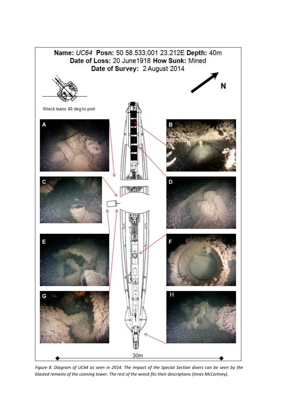

34 *blasted remains of the conning tower. The rest of the wreck fits their descriptions (Innes McCartney). Figure 8. Diagram of UC64 as seen in 2014. The impact of the Special Section divers can be seen by the*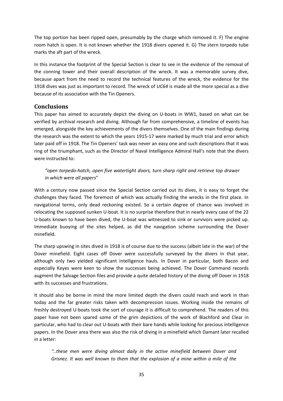The top portion has been ripped open, presumably by the charge which removed it. F) The engine room hatch is open. It is not known whether the 1918 divers opened it. G) The stern torpedo tube marks the aft part of the wreck.

In this instance the footprint of the Special Section is clear to see in the evidence of the removal of the conning tower and their overall description of the wreck. It was a memorable survey dive, because apart from the need to record the technical features of the wreck, the evidence for the 1918 dives was just as important to record. The wreck of *UC64* is made all the more special as a dive because of its association with the Tin Openers.

#### **Conclusions**

This paper has aimed to accurately depict the diving on U-boats in WW1, based on what can be verified by archival research and diving. Although far from comprehensive, a timeline of events has emerged, alongside the key achievements of the divers themselves. One of the main findings during the research was the extent to which the years 1915-17 were marked by much trial and error which later paid off in 1918. The Tin Openers' task was never an easy one and such descriptions that it was ring of the triumphant, such as the Director of Naval Intelligence Admiral Hall's note that the divers were instructed to:

*"open torpedo-hatch, open five watertight doors, turn sharp right and retrieve top drawer in which were all papers*"

With a century now passed since the Special Section carried out its dives, it is easy to forget the challenges they faced. The foremost of which was actually finding the wrecks in the first place. In navigational terms, only dead reckoning existed. So a certain degree of chance was involved in relocating the supposed sunken U-boat. It is no surprise therefore that in nearly every case of the 22 U-boats known to have been dived, the U-boat was witnessed to sink or survivors were picked up. Immediate buoying of the sites helped, as did the navigation scheme surrounding the Dover minefield.

The sharp upswing in sites dived in 1918 is of course due to the success (albeit late in the war) of the Dover minefield. Eight cases off Dover were successfully surveyed by the divers in that year, although only two yielded significant intelligence hauls. In Dover in particular, both Bacon and especially Keyes were keen to show the successes being achieved. The Dover Command records augment the Salvage Section files and provide a quite detailed history of the diving off Dover in 1918 with its successes and frustrations.

It should also be borne in mind the more limited depth the divers could reach and work in than today and the far greater risks taken with decompression issues. Working inside the remains of freshly destroyed U-boats took the sort of courage it is difficult to comprehend. The readers of this paper have not been spared some of the grim depictions of the work of Blachford and Clear in particular, who had to clear out U-boats with their bare hands while looking for precious intelligence papers. In the Dover area there was also the risk of diving in a minefield which Damant later recalled in a letter:

*"..these men were diving almost daily in the active minefield between Dover and Grisnez. It was well known to them that the explosion of a mine within a mile of the*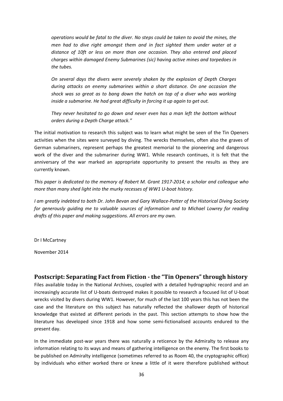*operations would be fatal to the diver. No steps could be taken to avoid the mines, the men had to dive right amongst them and in fact sighted them under water at a distance of 10ft or less on more than one occasion. They also entered and placed charges within damaged Enemy Submarines (sic) having active mines and torpedoes in the tubes.*

*On several days the divers were severely shaken by the explosion of Depth Charges during attacks on enemy submarines within a short distance. On one occasion the shock was so great as to bang down the hatch on top of a diver who was working inside a submarine. He had great difficulty in forcing it up again to get out.*

*They never hesitated to go down and never even has a man left the bottom without orders during a Depth Charge attack."*

The initial motivation to research this subject was to learn what might be seen of the Tin Openers activities when the sites were surveyed by diving. The wrecks themselves, often also the graves of German submariners, represent perhaps the greatest memorial to the pioneering and dangerous work of the diver and the submariner during WW1. While research continues, it is felt that the anniversary of the war marked an appropriate opportunity to present the results as they are currently known.

*This paper is dedicated to the memory of Robert M. Grant 1917-2014; a scholar and colleague who more than many shed light into the murky recesses of WW1 U-boat history.*

*I am greatly indebted to both Dr. John Bevan and Gary Wallace-Potter of the Historical Diving Society for generously guiding me to valuable sources of information and to Michael Lowrey for reading drafts of this paper and making suggestions. All errors are my own.*

Dr I McCartney

November 2014

### **Postscript: Separating Fact from Fiction - the "Tin Openers" through history**

Files available today in the National Archives, coupled with a detailed hydrographic record and an increasingly accurate list of U-boats destroyed makes it possible to research a focused list of U-boat wrecks visited by divers during WW1. However, for much of the last 100 years this has not been the case and the literature on this subject has naturally reflected the shallower depth of historical knowledge that existed at different periods in the past. This section attempts to show how the literature has developed since 1918 and how some semi-fictionalised accounts endured to the present day.

In the immediate post-war years there was naturally a reticence by the Admiralty to release any information relating to its ways and means of gathering intelligence on the enemy. The first books to be published on Admiralty intelligence (sometimes referred to as Room 40, the cryptographic office) by individuals who either worked there or knew a little of it were therefore published without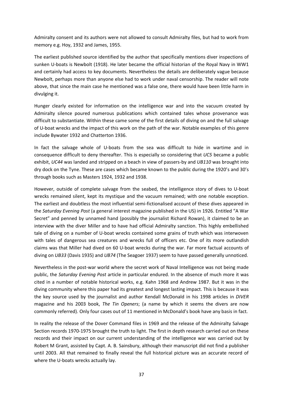Admiralty consent and its authors were not allowed to consult Admiralty files, but had to work from memory e.g. Hoy, 1932 and James, 1955.

The earliest published source identified by the author that specifically mentions diver inspections of sunken U-boats is Newbolt (1918). He later became the official historian of the Royal Navy in WW1 and certainly had access to key documents. Nevertheless the details are deliberately vague because Newbolt, perhaps more than anyone else had to work under naval censorship. The reader will note above, that since the main case he mentioned was a false one, there would have been little harm in divulging it.

Hunger clearly existed for information on the intelligence war and into the vacuum created by Admiralty silence poured numerous publications which contained tales whose provenance was difficult to substantiate. Within these came some of the first details of diving on and the full salvage of U-boat wrecks and the impact of this work on the path of the war. Notable examples of this genre include Bywater 1932 and Chatterton 1936.

In fact the salvage whole of U-boats from the sea was difficult to hide in wartime and in consequence difficult to deny thereafter. This is especially so considering that *UC5* became a public exhibit, *UC44* was landed and stripped on a beach in view of passers-by and *UB110* was brought into dry dock on the Tyne. These are cases which became known to the public during the 1920's and 30's through books such as Masters 1924, 1932 and 1938.

However, outside of complete salvage from the seabed, the intelligence story of dives to U-boat wrecks remained silent, kept its mystique and the vacuum remained; with one notable exception. The earliest and doubtless the most influential semi-fictionalised account of these dives appeared in the *Saturday Evening Post* (a general interest magazine published in the US) in 1926. Entitled "A War Secret" and penned by unnamed hand (possibly the journalist Richard Rowan), it claimed to be an interview with the diver Miller and to have had official Admiralty sanction. This highly embellished tale of diving on a number of U-boat wrecks contained some grains of truth which was interwoven with tales of dangerous sea creatures and wrecks full of officers etc. One of its more outlandish claims was that Miller had dived on 60 U-boat wrecks during the war. Far more factual accounts of diving on *UB33* (Davis 1935) and *UB74* (The Seagoer 1937) seem to have passed generally unnoticed.

Nevertheless in the post-war world where the secret work of Naval Intelligence was not being made public, the *Saturday Evening Post* article in particular endured. In the absence of much more it was cited in a number of notable historical works, e.g. Kahn 1968 and Andrew 1987. But it was in the diving community where this paper had its greatest and longest lasting impact. This is because it was the key source used by the journalist and author Kendall McDonald in his 1998 articles in *DIVER* magazine and his 2003 book, *The Tin Openers*; (a name by which it seems the divers are now commonly referred). Only four cases out of 11 mentioned in McDonald's book have any basis in fact.

In reality the release of the Dover Command files in 1969 and the release of the Admiralty Salvage Section records 1970-1975 brought the truth to light. The first in depth research carried out on these records and their impact on our current understanding of the intelligence war was carried out by Robert M Grant, assisted by Capt. A. B. Sainsbury, although their manuscript did not find a publisher until 2003. All that remained to finally reveal the full historical picture was an accurate record of where the U-boats wrecks actually lay.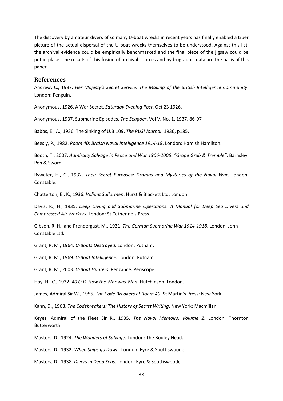The discovery by amateur divers of so many U-boat wrecks in recent years has finally enabled a truer picture of the actual dispersal of the U-boat wrecks themselves to be understood. Against this list, the archival evidence could be empirically benchmarked and the final piece of the jigsaw could be put in place. The results of this fusion of archival sources and hydrographic data are the basis of this paper.

#### **References**

Andrew, C., 1987. *Her Majesty's Secret Service: The Making of the British Intelligence Community*. London: Penguin.

Anonymous, 1926. A War Secret. *Saturday Evening Post*, Oct 23 1926.

Anonymous, 1937, Submarine Episodes. *The Seagoer*. Vol V. No. 1, 1937, 86-97

Babbs, E., A., 1936. The Sinking of U.B.109. *The RUSI Journal*. 1936, p185.

Beesly, P., 1982. *Room 40: British Naval Intelligence 1914-18*. London: Hamish Hamilton.

Booth, T., 2007. *Admiralty Salvage in Peace and War 1906-2006: "Grope Grub & Tremble"*. Barnsley: Pen & Sword.

Bywater, H., C., 1932. *Their Secret Purposes: Dramas and Mysteries of the Naval War*. London: Constable.

Chatterton, E., K., 1936. *Valiant Sailormen*. Hurst & Blackett Ltd: London

Davis, R., H., 1935. *Deep Diving and Submarine Operations: A Manual for Deep Sea Divers and Compressed Air Workers*. London: St Catherine's Press.

Gibson, R. H., and Prendergast, M., 1931. *The German Submarine War 1914-1918*. London: John Constable Ltd.

Grant, R. M., 1964. *U-Boats Destroyed*. London: Putnam.

Grant, R. M., 1969. *U-Boat Intelligence*. London: Putnam.

Grant, R. M., 2003. *U-Boat Hunters*. Penzance: Periscope.

Hoy, H., C., 1932. *40 O.B. How the War was Won*. Hutchinson: London.

James, Admiral Sir W., 1955*. The Code Breakers of Room 40*. St Martin's Press: New York

Kahn, D., 1968. *The Codebreakers: The History of Secret Writing*. New York: Macmillan.

Keyes, Admiral of the Fleet Sir R., 1935. *The Naval Memoirs, Volume 2*. London: Thornton Butterworth.

Masters, D., 1924. *The Wonders of Salvage*. London: The Bodley Head.

Masters, D., 1932. *When Ships go Down*. London: Eyre & Spottiswoode.

Masters, D., 1938. *Divers in Deep Seas*. London: Eyre & Spottiswoode.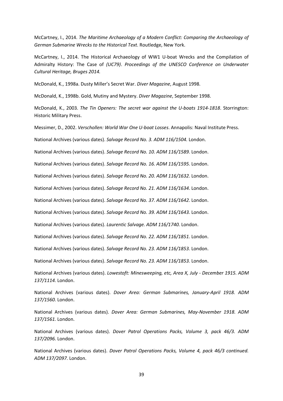McCartney, I., 2014. *The Maritime Archaeology of a Modern Conflict: Comparing the Archaeology of German Submarine Wrecks to the Historical Text*. Routledge, New York.

McCartney, I., 2014. The Historical Archaeology of WW1 U-boat Wrecks and the Compilation of Admiralty History: The Case of *(UC79)*. *Proceedings of the UNESCO Conference on Underwater Cultural Heritage, Bruges 2014.*

McDonald, K., 1998a. Dusty Miller's Secret War. *Diver Magazine*, August 1998.

McDonald, K., 1998b. Gold, Mutiny and Mystery. *Diver Magazine*, September 1998.

McDonald, K., 2003. *The Tin Openers: The secret war against the U-boats 1914-1818*. Storrington: Historic Military Press.

Messimer, D., 2002. *Verschollen: World War One U-boat Losses*. Annapolis: Naval Institute Press.

National Archives (various dates). *Salvage Record No. 3. ADM 116/1504.* London.

National Archives (various dates). *Salvage Record No. 10. ADM 116/1589.* London.

National Archives (various dates). *Salvage Record No. 16. ADM 116/1595.* London.

National Archives (various dates). *Salvage Record No. 20. ADM 116/1632.* London.

National Archives (various dates). *Salvage Record No. 21. ADM 116/1634.* London.

National Archives (various dates). *Salvage Record No. 37. ADM 116/1642.* London.

National Archives (various dates). *Salvage Record No. 39. ADM 116/1643.* London.

National Archives (various dates). *Laurentic Salvage. ADM 116/1740.* London.

National Archives (various dates). *Salvage Record No. 22. ADM 116/1851.* London.

National Archives (various dates). *Salvage Record No. 23. ADM 116/1853.* London.

National Archives (various dates). *Salvage Record No. 23. ADM 116/1853.* London.

National Archives (various dates). *Lowestoft: Minesweeping, etc, Area X, July - December 1915. ADM 137/1114.* London.

National Archives (various dates). *Dover Area: German Submarines, January-April 1918. ADM 137/1560.* London.

National Archives (various dates). *Dover Area: German Submarines, May-November 1918. ADM 137/1561.* London.

National Archives (various dates). *Dover Patrol Operations Packs, Volume 3, pack 46/3. ADM 137/2096.* London.

National Archives (various dates). *Dover Patrol Operations Packs, Volume 4, pack 46/3 continued. ADM 137/2097.* London.